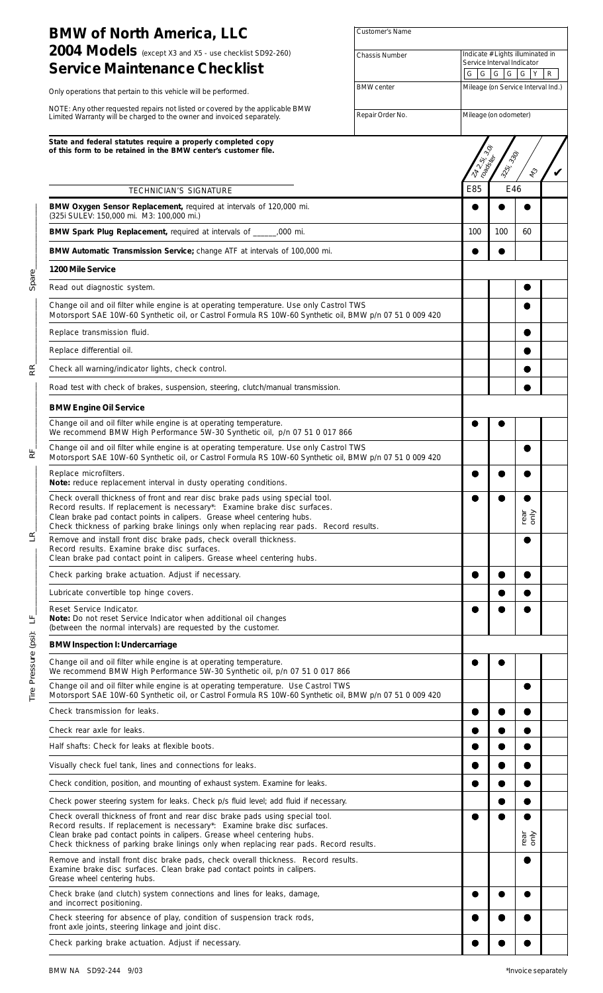| <b>BMW of North America, LLC</b>                                                                                                                                                                                                                                                                                                   | Customer's Name   |         |                       |                                       |   |
|------------------------------------------------------------------------------------------------------------------------------------------------------------------------------------------------------------------------------------------------------------------------------------------------------------------------------------|-------------------|---------|-----------------------|---------------------------------------|---|
| 2004 Models (except X3 and X5 - use checklist SD92-260)                                                                                                                                                                                                                                                                            | Chassis Number    |         |                       | Indicate # Lights illuminated in      |   |
| <b>Service Maintenance Checklist</b>                                                                                                                                                                                                                                                                                               |                   | G <br>G |                       | Service Interval Indicator<br>G G G Y | R |
| Only operations that pertain to this vehicle will be performed.                                                                                                                                                                                                                                                                    | <b>BMW</b> center |         |                       | Mileage (on Service Interval Ind.)    |   |
| NOTE: Any other requested repairs not listed or covered by the applicable BMW<br>Limited Warranty will be charged to the owner and invoiced separately.                                                                                                                                                                            | Repair Order No.  |         | Mileage (on odometer) |                                       |   |
| State and federal statutes require a properly completed copy<br>of this form to be retained in the BMW center's customer file.                                                                                                                                                                                                     |                   |         | $\hat{\varphi}$       |                                       |   |
|                                                                                                                                                                                                                                                                                                                                    |                   | LAND.   | 325, 330,<br>Toadores | $\ell_2$                              |   |
| TECHNICIAN'S SIGNATURE                                                                                                                                                                                                                                                                                                             |                   | E85     |                       | E46                                   |   |
| BMW Oxygen Sensor Replacement, required at intervals of 120,000 mi.<br>(325i SULEV: 150,000 mi. M3: 100,000 mi.)                                                                                                                                                                                                                   |                   |         |                       |                                       |   |
| BMW Spark Plug Replacement, required at intervals of _______,000 mi.                                                                                                                                                                                                                                                               |                   | 100     | 100                   | 60                                    |   |
| BMW Automatic Transmission Service; change ATF at intervals of 100,000 mi.                                                                                                                                                                                                                                                         |                   |         |                       |                                       |   |
| 1200 Mile Service                                                                                                                                                                                                                                                                                                                  |                   |         |                       |                                       |   |
| Read out diagnostic system.                                                                                                                                                                                                                                                                                                        |                   |         |                       |                                       |   |
| Change oil and oil filter while engine is at operating temperature. Use only Castrol TWS<br>Motorsport SAE 10W-60 Synthetic oil, or Castrol Formula RS 10W-60 Synthetic oil, BMW p/n 07 51 0 009 420                                                                                                                               |                   |         |                       |                                       |   |
| Replace transmission fluid.                                                                                                                                                                                                                                                                                                        |                   |         |                       |                                       |   |
| Replace differential oil.                                                                                                                                                                                                                                                                                                          |                   |         |                       |                                       |   |
| Check all warning/indicator lights, check control.                                                                                                                                                                                                                                                                                 |                   |         |                       |                                       |   |
| Road test with check of brakes, suspension, steering, clutch/manual transmission.                                                                                                                                                                                                                                                  |                   |         |                       |                                       |   |
| <b>BMW Engine Oil Service</b>                                                                                                                                                                                                                                                                                                      |                   |         |                       |                                       |   |
| Change oil and oil filter while engine is at operating temperature.<br>We recommend BMW High Performance 5W-30 Synthetic oil, p/n 07 51 0 017 866                                                                                                                                                                                  |                   |         |                       |                                       |   |
| Change oil and oil filter while engine is at operating temperature. Use only Castrol TWS<br>Motorsport SAE 10W-60 Synthetic oil, or Castrol Formula RS 10W-60 Synthetic oil, BMW p/n 07 51 0 009 420                                                                                                                               |                   |         |                       |                                       |   |
| Replace microfilters.<br>Note: reduce replacement interval in dusty operating conditions.                                                                                                                                                                                                                                          |                   |         |                       |                                       |   |
| Check overall thickness of front and rear disc brake pads using special tool.<br>Record results. If replacement is necessary*: Examine brake disc surfaces.<br>Clean brake pad contact points in calipers. Grease wheel centering hubs.<br>Check thickness of parking brake linings only when replacing rear pads. Record results. |                   |         |                       | rear<br>only                          |   |
| Remove and install front disc brake pads, check overall thickness.<br>Record results. Examine brake disc surfaces.<br>Clean brake pad contact point in calipers. Grease wheel centering hubs.                                                                                                                                      |                   |         |                       |                                       |   |
| Check parking brake actuation. Adjust if necessary.                                                                                                                                                                                                                                                                                |                   |         |                       |                                       |   |
| Lubricate convertible top hinge covers.                                                                                                                                                                                                                                                                                            |                   |         |                       |                                       |   |
| Reset Service Indicator.<br><b>Note:</b> Do not reset Service Indicator when additional oil changes<br>(between the normal intervals) are requested by the customer.                                                                                                                                                               |                   |         |                       |                                       |   |
| <b>BMW Inspection I: Undercarriage</b>                                                                                                                                                                                                                                                                                             |                   |         |                       |                                       |   |
| Change oil and oil filter while engine is at operating temperature.<br>We recommend BMW High Performance 5W-30 Synthetic oil, p/n 07 51 0 017 866                                                                                                                                                                                  |                   |         |                       |                                       |   |
| Change oil and oil filter while engine is at operating temperature. Use Castrol TWS<br>Motorsport SAE 10W-60 Synthetic oil, or Castrol Formula RS 10W-60 Synthetic oil, BMW p/n 07 51 0 009 420                                                                                                                                    |                   |         |                       |                                       |   |
| Check transmission for leaks.                                                                                                                                                                                                                                                                                                      |                   |         |                       |                                       |   |
| Check rear axle for leaks.                                                                                                                                                                                                                                                                                                         |                   |         |                       |                                       |   |
| Half shafts: Check for leaks at flexible boots.                                                                                                                                                                                                                                                                                    |                   |         |                       |                                       |   |
| Visually check fuel tank, lines and connections for leaks.                                                                                                                                                                                                                                                                         |                   |         |                       |                                       |   |
| Check condition, position, and mounting of exhaust system. Examine for leaks.                                                                                                                                                                                                                                                      |                   |         |                       |                                       |   |
| Check power steering system for leaks. Check p/s fluid level; add fluid if necessary.                                                                                                                                                                                                                                              |                   |         |                       |                                       |   |
| Check overall thickness of front and rear disc brake pads using special tool.<br>Record results. If replacement is necessary*: Examine brake disc surfaces.<br>Clean brake pad contact points in calipers. Grease wheel centering hubs.<br>Check thickness of parking brake linings only when replacing rear pads. Record results. |                   |         |                       | rear<br>only                          |   |
| Remove and install front disc brake pads, check overall thickness. Record results.<br>Examine brake disc surfaces. Clean brake pad contact points in calipers.<br>Grease wheel centering hubs.                                                                                                                                     |                   |         |                       |                                       |   |
| Check brake (and clutch) system connections and lines for leaks, damage,<br>and incorrect positioning.                                                                                                                                                                                                                             |                   |         |                       |                                       |   |
| Check steering for absence of play, condition of suspension track rods,<br>front axle joints, steering linkage and joint disc.                                                                                                                                                                                                     |                   |         |                       |                                       |   |
| Check parking brake actuation. Adjust if necessary.                                                                                                                                                                                                                                                                                |                   |         |                       |                                       |   |

Tire Pressure (psi): LF\_\_\_\_\_\_\_\_\_\_\_\_\_\_\_\_ LR\_\_\_\_\_\_\_\_\_\_\_\_\_\_\_\_ RF\_\_\_\_\_\_\_\_\_\_\_\_\_\_\_\_ RR\_\_\_\_\_\_\_\_\_\_\_\_\_\_\_\_ Spare\_\_\_\_\_\_\_\_\_\_\_\_\_\_\_\_

 $R_{\parallel}$ 

 $E_{\parallel}$ 

Tire Pressure (psi): LF\_

 $\mathbb{R}^{\mathbb{N}}$ 

Spare\_